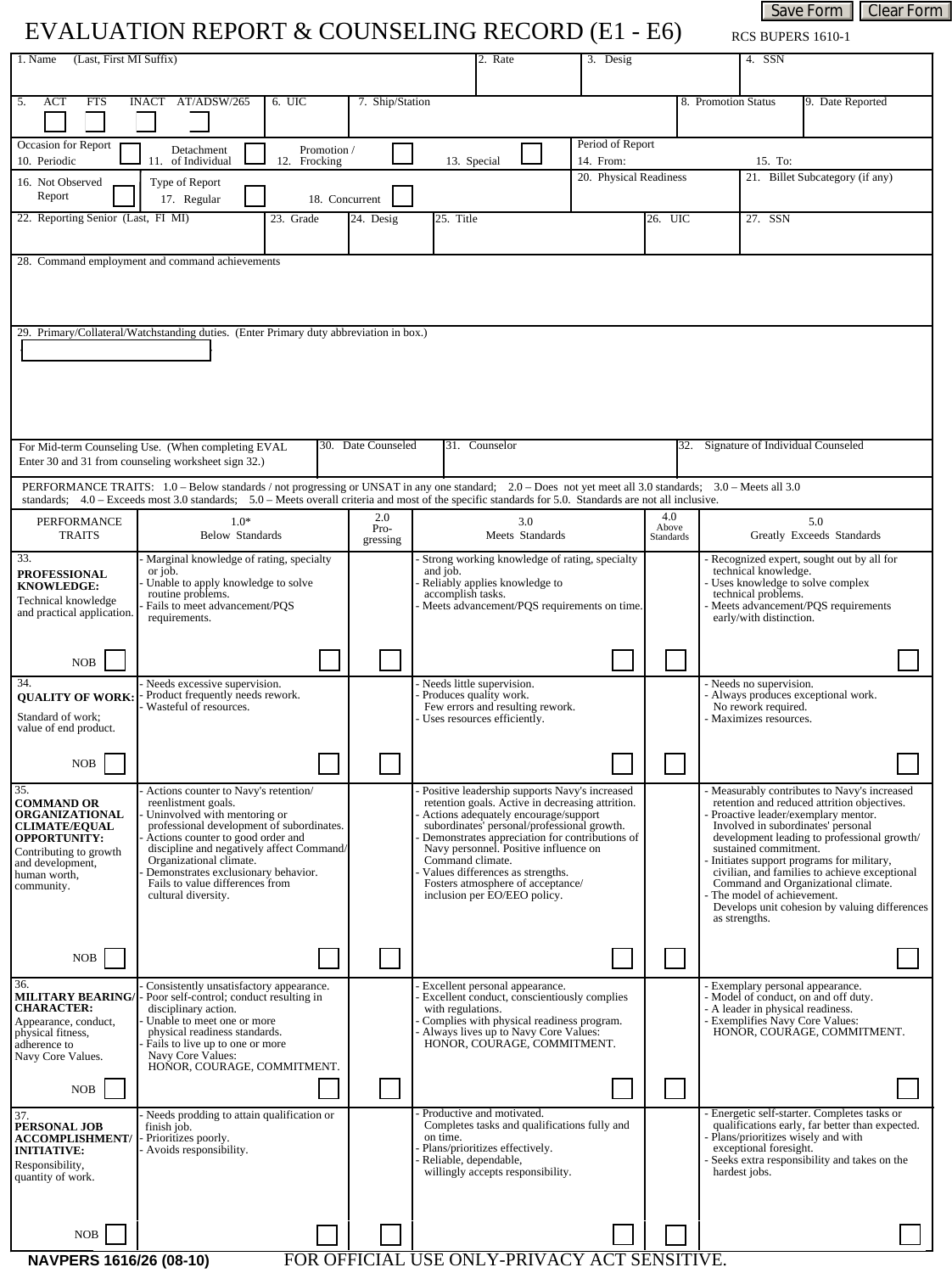## EVALUATION REPORT & COUNSELING RECORD (E1 - E6)

RCS BUPERS 1610-1

Save Form | Clear Form

| 1. Name<br>(Last, First MI Suffix)                                                     |                                                                                                                                                                  |                                             | 2. Rate                                                                                             | 3. Desig |                    | 4. SSN                                                                                                      |  |  |  |  |  |
|----------------------------------------------------------------------------------------|------------------------------------------------------------------------------------------------------------------------------------------------------------------|---------------------------------------------|-----------------------------------------------------------------------------------------------------|----------|--------------------|-------------------------------------------------------------------------------------------------------------|--|--|--|--|--|
| <b>ACT</b><br><b>FTS</b><br>5.                                                         | INACT AT/ADSW/265<br>6. UIC                                                                                                                                      | 7. Ship/Station                             |                                                                                                     |          |                    | 8. Promotion Status<br>9. Date Reported                                                                     |  |  |  |  |  |
|                                                                                        |                                                                                                                                                                  |                                             |                                                                                                     |          |                    | $\blacktriangledown$                                                                                        |  |  |  |  |  |
| Occasion for Report                                                                    | Detachment<br>Promotion /                                                                                                                                        | Period of Report                            |                                                                                                     |          |                    |                                                                                                             |  |  |  |  |  |
| 10. Periodic<br>16. Not Observed                                                       | of Individual<br>Frocking<br>11.<br>12.<br>Type of Report                                                                                                        | 20. Physical Readiness                      | 15. To:<br>21. Billet Subcategory (if any)                                                          |          |                    |                                                                                                             |  |  |  |  |  |
| Report                                                                                 | 17. Regular                                                                                                                                                      | 18. Concurrent                              |                                                                                                     |          |                    | $\overline{\phantom{a}}$                                                                                    |  |  |  |  |  |
| 22. Reporting Senior (Last, FI MI)                                                     | 23. Grade                                                                                                                                                        | 24. Desig                                   | 25. Title                                                                                           |          | 26. UIC            | 27. SSN                                                                                                     |  |  |  |  |  |
|                                                                                        | 28. Command employment and command achievements                                                                                                                  |                                             |                                                                                                     |          |                    |                                                                                                             |  |  |  |  |  |
|                                                                                        |                                                                                                                                                                  |                                             |                                                                                                     |          |                    |                                                                                                             |  |  |  |  |  |
|                                                                                        |                                                                                                                                                                  |                                             |                                                                                                     |          |                    |                                                                                                             |  |  |  |  |  |
| 29. Primary/Collateral/Watchstanding duties. (Enter Primary duty abbreviation in box.) |                                                                                                                                                                  |                                             |                                                                                                     |          |                    |                                                                                                             |  |  |  |  |  |
|                                                                                        |                                                                                                                                                                  |                                             |                                                                                                     |          |                    |                                                                                                             |  |  |  |  |  |
|                                                                                        |                                                                                                                                                                  |                                             |                                                                                                     |          |                    |                                                                                                             |  |  |  |  |  |
|                                                                                        |                                                                                                                                                                  |                                             |                                                                                                     |          |                    |                                                                                                             |  |  |  |  |  |
|                                                                                        |                                                                                                                                                                  |                                             |                                                                                                     |          |                    |                                                                                                             |  |  |  |  |  |
|                                                                                        | For Mid-term Counseling Use. (When completing EVAL<br>Enter 30 and 31 from counseling worksheet sign 32.)                                                        | 30. Date Counseled                          | 31. Counselor                                                                                       |          |                    | 32. Signature of Individual Counseled                                                                       |  |  |  |  |  |
|                                                                                        | PERFORMANCE TRAITS: 1.0 – Below standards / not progressing or UNSAT in any one standard; 2.0 – Does not yet meet all 3.0 standards; 3.0 – Meets all 3.0         |                                             |                                                                                                     |          |                    |                                                                                                             |  |  |  |  |  |
| <b>PERFORMANCE</b>                                                                     | standards; 4.0 – Exceeds most 3.0 standards; 5.0 – Meets overall criteria and most of the specific standards for 5.0. Standards are not all inclusive.<br>$1.0*$ | 2.0                                         | 3.0                                                                                                 |          | 4.0                | 5.0                                                                                                         |  |  |  |  |  |
| <b>TRAITS</b>                                                                          | <b>Below Standards</b>                                                                                                                                           | Pro-<br>gressing                            | Meets Standards                                                                                     |          | Above<br>Standards | Greatly Exceeds Standards                                                                                   |  |  |  |  |  |
| 33.                                                                                    | Marginal knowledge of rating, specialty<br>or job.                                                                                                               |                                             | Strong working knowledge of rating, specialty<br>and job.                                           |          |                    | Recognized expert, sought out by all for<br>technical knowledge.                                            |  |  |  |  |  |
| <b>PROFESSIONAL</b><br><b>KNOWLEDGE:</b>                                               | Unable to apply knowledge to solve<br>routine problems.                                                                                                          |                                             | Reliably applies knowledge to<br>accomplish tasks.                                                  |          |                    | Uses knowledge to solve complex<br>technical problems.                                                      |  |  |  |  |  |
| Technical knowledge<br>and practical application.                                      | Fails to meet advancement/PQS<br>requirements.                                                                                                                   | Meets advancement/PQS requirements on time. |                                                                                                     |          |                    | Meets advancement/PQS requirements<br>early/with distinction.                                               |  |  |  |  |  |
|                                                                                        |                                                                                                                                                                  |                                             |                                                                                                     |          |                    |                                                                                                             |  |  |  |  |  |
| <b>NOB</b>                                                                             |                                                                                                                                                                  |                                             |                                                                                                     |          |                    |                                                                                                             |  |  |  |  |  |
| 34.<br><b>QUALITY OF WORK:</b>                                                         | Needs excessive supervision.<br>Product frequently needs rework.                                                                                                 |                                             | Needs little supervision.<br>Produces quality work.                                                 |          |                    | - Needs no supervision.<br>- Always produces exceptional work.                                              |  |  |  |  |  |
| Standard of work;                                                                      | Wasteful of resources.                                                                                                                                           |                                             | Few errors and resulting rework.<br>Uses resources efficiently.                                     |          |                    | No rework required.<br>Maximizes resources.                                                                 |  |  |  |  |  |
| value of end product.                                                                  |                                                                                                                                                                  |                                             |                                                                                                     |          |                    |                                                                                                             |  |  |  |  |  |
| NOB                                                                                    |                                                                                                                                                                  |                                             |                                                                                                     |          |                    |                                                                                                             |  |  |  |  |  |
| 35.<br><b>COMMAND OR</b>                                                               | - Actions counter to Navy's retention/<br>reenlistment goals.                                                                                                    |                                             | - Positive leadership supports Navy's increased<br>retention goals. Active in decreasing attrition. |          |                    | - Measurably contributes to Navy's increased<br>retention and reduced attrition objectives.                 |  |  |  |  |  |
| ORGANIZATIONAL<br><b>CLIMATE/EQUAL</b>                                                 | Uninvolved with mentoring or<br>professional development of subordinates.                                                                                        |                                             | Actions adequately encourage/support<br>subordinates' personal/professional growth.                 |          |                    | Proactive leader/exemplary mentor.<br>Involved in subordinates' personal                                    |  |  |  |  |  |
| <b>OPPORTUNITY:</b><br>Contributing to growth                                          | Actions counter to good order and<br>discipline and negatively affect Command/                                                                                   |                                             | Demonstrates appreciation for contributions of<br>Navy personnel. Positive influence on             |          |                    | development leading to professional growth/<br>sustained commitment.                                        |  |  |  |  |  |
| and development,<br>human worth,                                                       | Organizational climate.<br>Demonstrates exclusionary behavior.                                                                                                   |                                             | Command climate.<br>Values differences as strengths.                                                |          |                    | Initiates support programs for military,<br>civilian, and families to achieve exceptional                   |  |  |  |  |  |
| community.                                                                             | Fails to value differences from<br>cultural diversity.                                                                                                           |                                             | Fosters atmosphere of acceptance/<br>inclusion per EO/EEO policy.                                   |          |                    | Command and Organizational climate.<br>The model of achievement.                                            |  |  |  |  |  |
|                                                                                        |                                                                                                                                                                  |                                             |                                                                                                     |          |                    | Develops unit cohesion by valuing differences<br>as strengths.                                              |  |  |  |  |  |
|                                                                                        |                                                                                                                                                                  |                                             |                                                                                                     |          |                    |                                                                                                             |  |  |  |  |  |
| NOB                                                                                    |                                                                                                                                                                  |                                             |                                                                                                     |          |                    |                                                                                                             |  |  |  |  |  |
| 36.<br><b>MILITARY BEARING</b><br><b>CHARACTER:</b>                                    | Consistently unsatisfactory appearance.<br>Poor self-control; conduct resulting in<br>disciplinary action.                                                       |                                             | Excellent personal appearance.<br>Excellent conduct, conscientiously complies                       |          |                    | Exemplary personal appearance.<br>- Model of conduct, on and off duty.<br>- A leader in physical readiness. |  |  |  |  |  |
| Appearance, conduct,<br>physical fitness,                                              | Unable to meet one or more<br>physical readiness standards.                                                                                                      |                                             | with regulations.<br>Complies with physical readiness program.                                      |          |                    | Exemplifies Navy Core Values:<br>HONOR, COURAGE, COMMITMENT.                                                |  |  |  |  |  |
| adherence to<br>Navy Core Values.                                                      | Fails to live up to one or more<br>Navy Core Values:                                                                                                             |                                             | Always lives up to Navy Core Values:<br>HONOR, COURAGE, COMMITMENT.                                 |          |                    |                                                                                                             |  |  |  |  |  |
|                                                                                        | HONOR, COURAGE, COMMITMENT.                                                                                                                                      |                                             |                                                                                                     |          |                    |                                                                                                             |  |  |  |  |  |
| <b>NOB</b>                                                                             |                                                                                                                                                                  |                                             |                                                                                                     |          |                    |                                                                                                             |  |  |  |  |  |
| 37.<br><b>PERSONAL JOB</b>                                                             | Needs prodding to attain qualification or<br>finish job.                                                                                                         |                                             | Productive and motivated.<br>Completes tasks and qualifications fully and                           |          |                    | - Energetic self-starter. Completes tasks or<br>qualifications early, far better than expected.             |  |  |  |  |  |
| <b>ACCOMPLISHMENT/</b><br><b>INITIATIVE:</b>                                           | Prioritizes poorly.<br>Avoids responsibility.                                                                                                                    |                                             | on time.<br>Plans/prioritizes effectively.<br>Reliable, dependable,                                 |          |                    | Plans/prioritizes wisely and with<br>exceptional foresight.                                                 |  |  |  |  |  |
| Responsibility,<br>quantity of work.                                                   |                                                                                                                                                                  |                                             | willingly accepts responsibility.                                                                   |          |                    | Seeks extra responsibility and takes on the<br>hardest jobs.                                                |  |  |  |  |  |
|                                                                                        |                                                                                                                                                                  |                                             |                                                                                                     |          |                    |                                                                                                             |  |  |  |  |  |
| <b>NOB</b>                                                                             |                                                                                                                                                                  |                                             |                                                                                                     |          |                    |                                                                                                             |  |  |  |  |  |
| NAVPERS 1616/26 (08-10)                                                                |                                                                                                                                                                  |                                             | FOR OFFICIAL USE ONLY-PRIVACY ACT SENSITIVE.                                                        |          |                    |                                                                                                             |  |  |  |  |  |
|                                                                                        |                                                                                                                                                                  |                                             |                                                                                                     |          |                    |                                                                                                             |  |  |  |  |  |